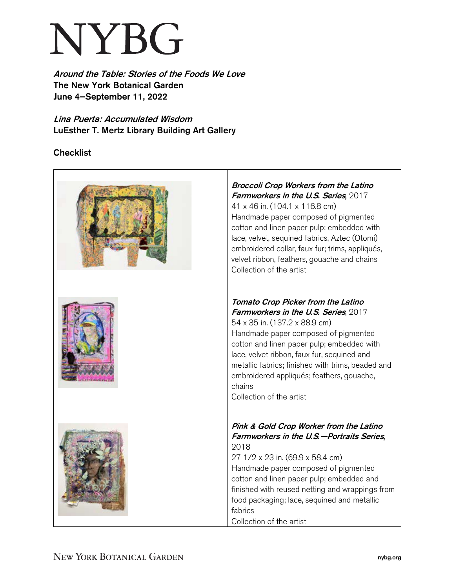## NYBG

Around the Table: Stories of the Foods We Love The New York Botanical Garden June 4–September 11, 2022

Lina Puerta: Accumulated Wisdom LuEsther T. Mertz Library Building Art Gallery

**Checklist** 

| <b>Broccoli Crop Workers from the Latino</b><br>Farmworkers in the U.S. Series, 2017<br>41 x 46 in. (104.1 x 116.8 cm)<br>Handmade paper composed of pigmented<br>cotton and linen paper pulp; embedded with<br>lace, velvet, sequined fabrics, Aztec (Otomi)<br>embroidered collar, faux fur; trims, appliqués,<br>velvet ribbon, feathers, gouache and chains<br>Collection of the artist |
|---------------------------------------------------------------------------------------------------------------------------------------------------------------------------------------------------------------------------------------------------------------------------------------------------------------------------------------------------------------------------------------------|
| Tomato Crop Picker from the Latino<br>Farmworkers in the U.S. Series, 2017<br>54 x 35 in. (137.2 x 88.9 cm)<br>Handmade paper composed of pigmented<br>cotton and linen paper pulp; embedded with<br>lace, velvet ribbon, faux fur, sequined and<br>metallic fabrics; finished with trims, beaded and<br>embroidered appliqués; feathers, gouache,<br>chains<br>Collection of the artist    |
| Pink & Gold Crop Worker from the Latino<br>Farmworkers in the U.S.-Portraits Series,<br>2018<br>27 1/2 x 23 in. (69.9 x 58.4 cm)<br>Handmade paper composed of pigmented<br>cotton and linen paper pulp; embedded and<br>finished with reused netting and wrappings from<br>food packaging; lace, sequined and metallic<br>fabrics<br>Collection of the artist                              |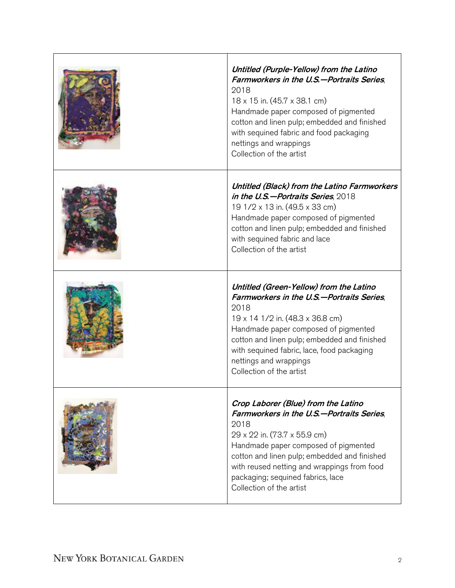| Untitled (Purple-Yellow) from the Latino<br>Farmworkers in the U.S.-Portraits Series,<br>2018<br>$18 \times 15$ in. (45.7 $\times$ 38.1 cm)<br>Handmade paper composed of pigmented<br>cotton and linen pulp; embedded and finished<br>with sequined fabric and food packaging<br>nettings and wrappings<br>Collection of the artist |
|--------------------------------------------------------------------------------------------------------------------------------------------------------------------------------------------------------------------------------------------------------------------------------------------------------------------------------------|
| Untitled (Black) from the Latino Farmworkers<br>in the U.S.-Portraits Series, 2018<br>19 1/2 x 13 in. (49.5 x 33 cm)<br>Handmade paper composed of pigmented<br>cotton and linen pulp; embedded and finished<br>with sequined fabric and lace<br>Collection of the artist                                                            |
| Untitled (Green-Yellow) from the Latino<br>Farmworkers in the U.S.-Portraits Series,                                                                                                                                                                                                                                                 |
| 2018<br>19 x 14 1/2 in. (48.3 x 36.8 cm)<br>Handmade paper composed of pigmented<br>cotton and linen pulp; embedded and finished<br>with sequined fabric, lace, food packaging<br>nettings and wrappings<br>Collection of the artist                                                                                                 |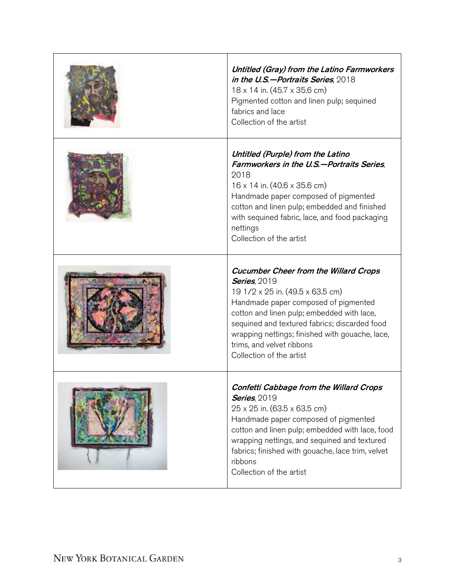| Untitled (Gray) from the Latino Farmworkers<br>in the U.S.-Portraits Series, 2018<br>18 x 14 in. (45.7 x 35.6 cm)<br>Pigmented cotton and linen pulp; sequined<br>fabrics and lace<br>Collection of the artist                                                                                                                                             |
|------------------------------------------------------------------------------------------------------------------------------------------------------------------------------------------------------------------------------------------------------------------------------------------------------------------------------------------------------------|
| Untitled (Purple) from the Latino<br>Farmworkers in the U.S.-Portraits Series.<br>2018<br>$16 \times 14$ in. $(40.6 \times 35.6$ cm)<br>Handmade paper composed of pigmented<br>cotton and linen pulp; embedded and finished<br>with sequined fabric, lace, and food packaging<br>nettings<br>Collection of the artist                                     |
| <b>Cucumber Cheer from the Willard Crops</b><br><b>Series, 2019</b><br>19 1/2 x 25 in. (49.5 x 63.5 cm)<br>Handmade paper composed of pigmented<br>cotton and linen pulp; embedded with lace,<br>sequined and textured fabrics; discarded food<br>wrapping nettings; finished with gouache, lace,<br>trims, and velvet ribbons<br>Collection of the artist |
| onfetti Cabbage from the Willard Crops<br><b>Series</b> , 2019<br>25 x 25 in. (63.5 x 63.5 cm)<br>Handmade paper composed of pigmented<br>cotton and linen pulp; embedded with lace, food<br>wrapping nettings, and sequined and textured<br>fabrics; finished with gouache, lace trim, velvet<br>ribbons<br>Collection of the artist                      |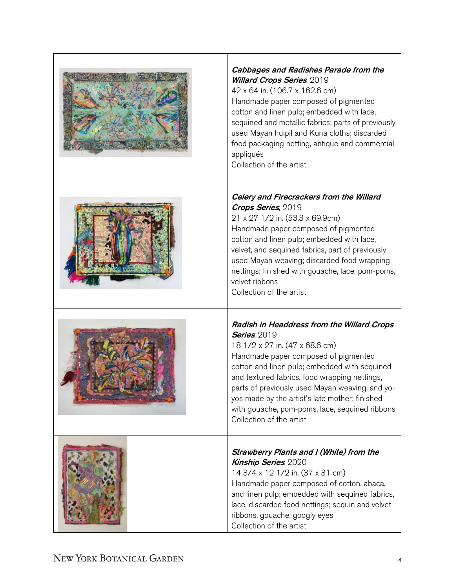| <b>Cabbages and Radishes Parade from the</b><br><b>Willard Crops Series, 2019</b><br>42 x 64 in. (106.7 x 162.6 cm)<br>Handmade paper composed of pigmented<br>cotton and linen pulp; embedded with lace,<br>sequined and metallic fabrics; parts of previously<br>used Mayan huipil and Kuna cloths; discarded<br>food packaging netting, antique and commercial<br>appliqués<br>Collection of the artist                        |
|-----------------------------------------------------------------------------------------------------------------------------------------------------------------------------------------------------------------------------------------------------------------------------------------------------------------------------------------------------------------------------------------------------------------------------------|
| Celery and Firecrackers from the Willard<br>Crops Series, 2019<br>21 x 27 1/2 in. (53.3 x 69.9cm)<br>Handmade paper composed of pigmented<br>cotton and linen pulp; embedded with lace,<br>velvet, and sequined fabrics, part of previously<br>used Mayan weaving; discarded food wrapping<br>nettings; finished with gouache, lace, pom-poms,<br>velvet ribbons<br>Collection of the artist                                      |
| Radish in Headdress from the Willard Crops<br><b>Series</b> , 2019<br>18 1/2 x 27 in. (47 x 68.6 cm)<br>Handmade paper composed of pigmented<br>cotton and linen pulp; embedded with sequined<br>and textured fabrics, food wrapping nettings,<br>parts of previously used Mayan weaving, and yo-<br>yos made by the artist's late mother; finished<br>with gouache, pom-poms, lace, sequined ribbons<br>Collection of the artist |
| Strawberry Plants and I (White) from the<br><b>Kinship Series, 2020</b><br>14 3/4 x 12 1/2 in. (37 x 31 cm)<br>Handmade paper composed of cotton, abaca,<br>and linen pulp; embedded with sequined fabrics,<br>lace, discarded food nettings; sequin and velvet<br>ribbons, gouache, googly eyes<br>Collection of the artist                                                                                                      |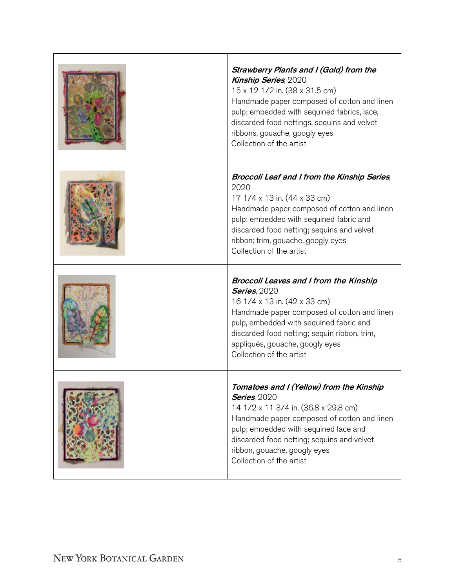| Strawberry Plants and I (Gold) from the<br><b>Kinship Series, 2020</b><br>15 x 12 1/2 in. (38 x 31.5 cm)<br>Handmade paper composed of cotton and linen<br>pulp; embedded with sequined fabrics, lace,<br>discarded food nettings, sequins and velvet<br>ribbons, gouache, googly eyes<br>Collection of the artist |
|--------------------------------------------------------------------------------------------------------------------------------------------------------------------------------------------------------------------------------------------------------------------------------------------------------------------|
| Broccoli Leaf and I from the Kinship Series,<br>2020<br>17 1/4 x 13 in. (44 x 33 cm)<br>Handmade paper composed of cotton and linen<br>pulp; embedded with sequined fabric and<br>discarded food netting; sequins and velvet<br>ribbon; trim, gouache, googly eyes<br>Collection of the artist                     |
| <b>Broccoli Leaves and I from the Kinship</b><br><b>Series, 2020</b><br>16 1/4 x 13 in. (42 x 33 cm)<br>Handmade paper composed of cotton and linen<br>pulp, embedded with sequined fabric and<br>discarded food netting; sequin ribbon, trim,<br>appliqués, gouache, googly eyes<br>Collection of the artist      |
| Tomatoes and I (Yellow) from the Kinship<br><b>Series, 2020</b><br>14 1/2 x 11 3/4 in. (36.8 x 29.8 cm)<br>Handmade paper composed of cotton and linen<br>pulp; embedded with sequined lace and<br>discarded food netting; sequins and velvet<br>ribbon, gouache, googly eyes<br>Collection of the artist          |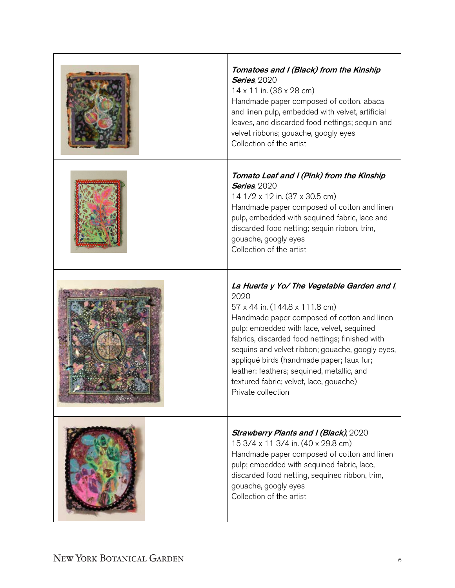| Tomatoes and I (Black) from the Kinship<br><b>Series, 2020</b><br>$14 \times 11$ in. (36 x 28 cm)<br>Handmade paper composed of cotton, abaca<br>and linen pulp, embedded with velvet, artificial<br>leaves, and discarded food nettings; sequin and<br>velvet ribbons; gouache, googly eyes<br>Collection of the artist                                                                                                                              |
|-------------------------------------------------------------------------------------------------------------------------------------------------------------------------------------------------------------------------------------------------------------------------------------------------------------------------------------------------------------------------------------------------------------------------------------------------------|
| Tomato Leaf and I (Pink) from the Kinship<br><b>Series, 2020</b><br>14 1/2 x 12 in. (37 x 30.5 cm)<br>Handmade paper composed of cotton and linen<br>pulp, embedded with sequined fabric, lace and<br>discarded food netting; sequin ribbon, trim,<br>gouache, googly eyes<br>Collection of the artist                                                                                                                                                |
| La Huerta y Yo/ The Vegetable Garden and I,<br>2020<br>57 x 44 in. (144.8 x 111.8 cm)<br>Handmade paper composed of cotton and linen<br>pulp; embedded with lace, velvet, sequined<br>fabrics, discarded food nettings; finished with<br>sequins and velvet ribbon; gouache, googly eyes,<br>appliqué birds (handmade paper; faux fur;<br>leather; feathers; sequined, metallic, and<br>textured fabric; velvet, lace, gouache)<br>Private collection |
| <b>Strawberry Plants and I (Black), 2020</b><br>15 3/4 x 11 3/4 in. (40 x 29.8 cm)<br>Handmade paper composed of cotton and linen<br>pulp; embedded with sequined fabric, lace,<br>discarded food netting, sequined ribbon, trim,<br>gouache, googly eyes<br>Collection of the artist                                                                                                                                                                 |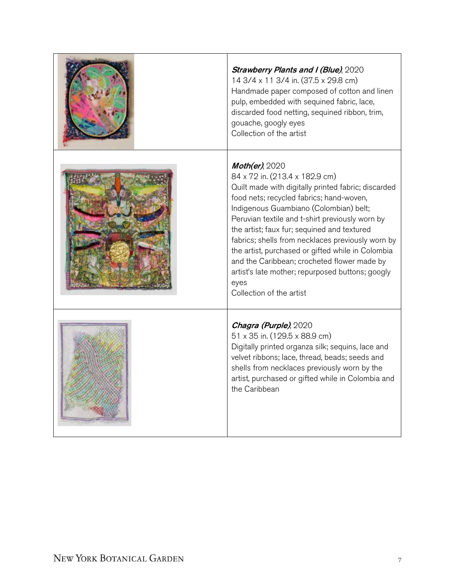| <b>Strawberry Plants and I (Blue), 2020</b><br>14 3/4 x 11 3/4 in. (37.5 x 29.8 cm)<br>Handmade paper composed of cotton and linen<br>pulp, embedded with sequined fabric, lace,<br>discarded food netting, sequined ribbon, trim,<br>gouache, googly eyes<br>Collection of the artist                                                                                                                                                                                                                                                                     |
|------------------------------------------------------------------------------------------------------------------------------------------------------------------------------------------------------------------------------------------------------------------------------------------------------------------------------------------------------------------------------------------------------------------------------------------------------------------------------------------------------------------------------------------------------------|
| $\mathit{Mother}$ , 2020<br>84 x 72 in. (213.4 x 182.9 cm)<br>Quilt made with digitally printed fabric; discarded<br>food nets; recycled fabrics; hand-woven,<br>Indigenous Guambiano (Colombian) belt;<br>Peruvian textile and t-shirt previously worn by<br>the artist; faux fur; sequined and textured<br>fabrics; shells from necklaces previously worn by<br>the artist, purchased or gifted while in Colombia<br>and the Caribbean; crocheted flower made by<br>artist's late mother; repurposed buttons; googly<br>eyes<br>Collection of the artist |
| Chagra (Purple), 2020<br>51 x 35 in. (129.5 x 88.9 cm)<br>Digitally printed organza silk; sequins, lace and<br>velvet ribbons; lace, thread, beads; seeds and<br>shells from necklaces previously worn by the<br>artist, purchased or gifted while in Colombia and<br>the Caribbean                                                                                                                                                                                                                                                                        |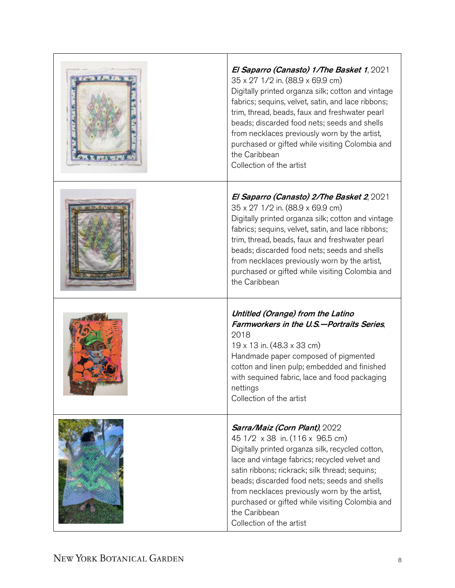| <b>THE R. P. LEWIS CO., LANSING MICH.</b> | El Saparro (Canasto) 1/The Basket 1, 2021<br>35 x 27 1/2 in. (88.9 x 69.9 cm)<br>Digitally printed organza silk; cotton and vintage<br>fabrics; sequins, velvet, satin, and lace ribbons;<br>trim, thread, beads, faux and freshwater pearl<br>beads; discarded food nets; seeds and shells<br>from necklaces previously worn by the artist,<br>purchased or gifted while visiting Colombia and<br>the Caribbean<br>Collection of the artist |
|-------------------------------------------|----------------------------------------------------------------------------------------------------------------------------------------------------------------------------------------------------------------------------------------------------------------------------------------------------------------------------------------------------------------------------------------------------------------------------------------------|
|                                           | El Saparro (Canasto) 2/The Basket 2, 2021<br>35 x 27 1/2 in. (88.9 x 69.9 cm)<br>Digitally printed organza silk; cotton and vintage<br>fabrics; sequins, velvet, satin, and lace ribbons;<br>trim, thread, beads, faux and freshwater pearl<br>beads; discarded food nets; seeds and shells<br>from necklaces previously worn by the artist,<br>purchased or gifted while visiting Colombia and<br>the Caribbean                             |
|                                           | Untitled (Orange) from the Latino<br>Farmworkers in the U.S.-Portraits Series.<br>2018<br>19 x 13 in. (48.3 x 33 cm)<br>Handmade paper composed of pigmented<br>cotton and linen pulp; embedded and finished<br>with sequined fabric, lace and food packaging<br>nettings<br>Collection of the artist                                                                                                                                        |
|                                           | Sarra/Maiz (Corn Plant), 2022<br>45 1/2 x 38 in. (116 x 96.5 cm)<br>Digitally printed organza silk, recycled cotton,<br>lace and vintage fabrics; recycled velvet and<br>satin ribbons; rickrack; silk thread; sequins;<br>beads; discarded food nets; seeds and shells<br>from necklaces previously worn by the artist,<br>purchased or gifted while visiting Colombia and<br>the Caribbean<br>Collection of the artist                     |